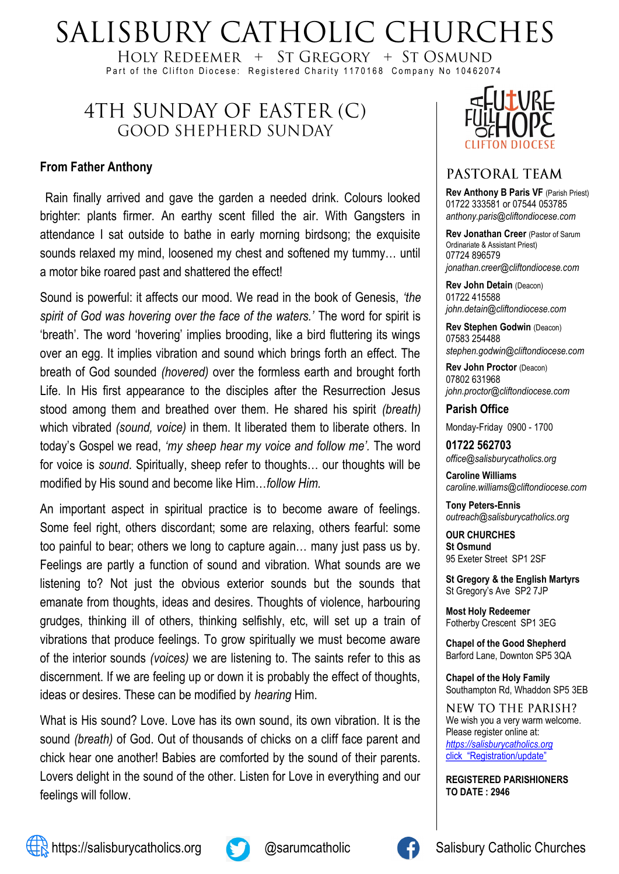# SALISBURY CATHOLIC CHURCHES

HOLY REDEEMER  $+$  ST GREGORY  $+$  ST OSMUND Part of the Clifton Diocese: Registered Charity 1170168 Company No 10462074

# 4TH SUNDAY OF EASTER (C) **GOOD SHEPHERD SUNDAY**

#### **From Father Anthony**

Rain finally arrived and gave the garden a needed drink. Colours looked brighter: plants firmer. An earthy scent filled the air. With Gangsters in attendance I sat outside to bathe in early morning birdsong; the exquisite sounds relaxed my mind, loosened my chest and softened my tummy… until a motor bike roared past and shattered the effect!

Sound is powerful: it affects our mood. We read in the book of Genesis, *'the spirit of God was hovering over the face of the waters.'* The word for spirit is 'breath'. The word 'hovering' implies brooding, like a bird fluttering its wings over an egg. It implies vibration and sound which brings forth an effect. The breath of God sounded *(hovered)* over the formless earth and brought forth Life. In His first appearance to the disciples after the Resurrection Jesus stood among them and breathed over them. He shared his spirit *(breath)* which vibrated *(sound, voice)* in them. It liberated them to liberate others. In today's Gospel we read, *'my sheep hear my voice and follow me'.* The word for voice is *sound*. Spiritually, sheep refer to thoughts… our thoughts will be modified by His sound and become like Him…*follow Him.*

An important aspect in spiritual practice is to become aware of feelings. Some feel right, others discordant; some are relaxing, others fearful: some too painful to bear; others we long to capture again… many just pass us by. Feelings are partly a function of sound and vibration. What sounds are we listening to? Not just the obvious exterior sounds but the sounds that emanate from thoughts, ideas and desires. Thoughts of violence, harbouring grudges, thinking ill of others, thinking selfishly, etc, will set up a train of vibrations that produce feelings. To grow spiritually we must become aware of the interior sounds *(voices)* we are listening to. The saints refer to this as discernment. If we are feeling up or down it is probably the effect of thoughts, ideas or desires. These can be modified by *hearing* Him.

What is His sound? Love. Love has its own sound, its own vibration. It is the sound *(breath)* of God. Out of thousands of chicks on a cliff face parent and chick hear one another! Babies are comforted by the sound of their parents. Lovers delight in the sound of the other. Listen for Love in everything and our feelings will follow.



### PASTORAL TEAM

**Rev Anthony B Paris VF (Parish Priest)** 01722 333581 or 07544 053785 *anthony.paris@cliftondiocese.com*

**Rev Jonathan Creer** (Pastor of Sarum Ordinariate & Assistant Priest) 07724 896579 *jonathan.creer@cliftondiocese.com*

**Rev John Detain** (Deacon) 01722 415588 *john.detain@cliftondiocese.com*

**Rev Stephen Godwin** (Deacon) 07583 254488 *stephen.godwin@cliftondiocese.com*

**Rev John Proctor** (Deacon) 07802 631968 *john.proctor@cliftondiocese.com*

**Parish Office** 

Monday-Friday 0900 - 1700

**01722 562703** *office@salisburycatholics.org*

**Caroline Williams** *caroline.williams@cliftondiocese.com*

**Tony Peters-Ennis** *outreach@salisburycatholics.org*

**OUR CHURCHES St Osmund** 95 Exeter Street SP1 2SF

**St Gregory & the English Martyrs** St Gregory's Ave SP2 7JP

**Most Holy Redeemer**  Fotherby Crescent SP1 3EG

**Chapel of the Good Shepherd** Barford Lane, Downton SP5 3QA

**Chapel of the Holy Family** Southampton Rd, Whaddon SP5 3EB

**NEW TO THE PARISH?** We wish you a very warm welcome. Please register online at: *[https://salisburycatholics.org](https://p1.pamis.co.uk/salisbury/onlined01cab)*  [click "Registration/update"](https://p1.pamis.co.uk/salisbury/onlined01cab) 

**REGISTERED PARISHIONERS TO DATE : 2946**



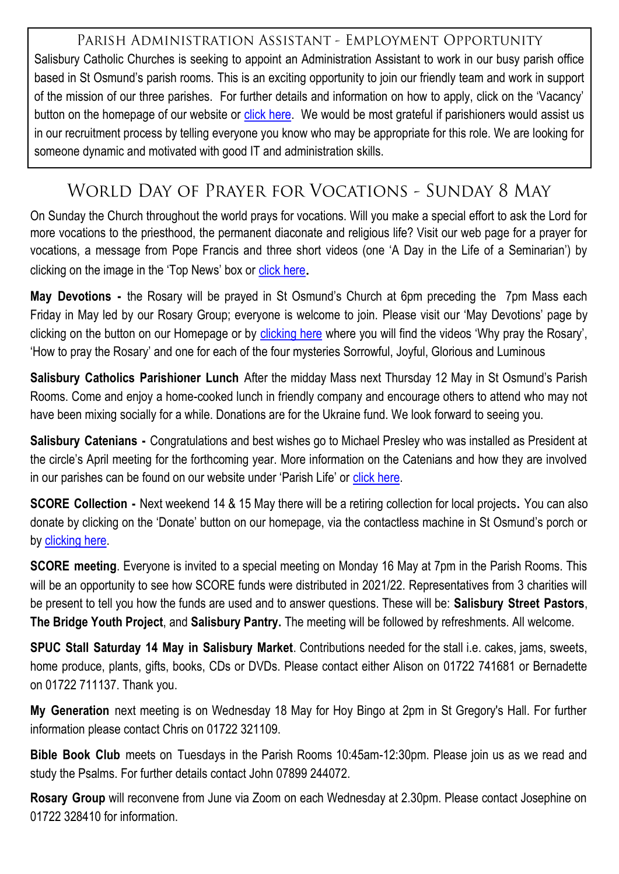PARISH ADMINISTRATION ASSISTANT - EMPLOYMENT OPPORTUNITY Salisbury Catholic Churches is seeking to appoint an Administration Assistant to work in our busy parish office based in St Osmund's parish rooms. This is an exciting opportunity to join our friendly team and work in support of the mission of our three parishes. For further details and information on how to apply, click on the 'Vacancy' button on the homepage of our website or [click here.](https://salisburycatholics.org/vacancies) We would be most grateful if parishioners would assist us in our recruitment process by telling everyone you know who may be appropriate for this role. We are looking for someone dynamic and motivated with good IT and administration skills.

# WORLD DAY OF PRAYER FOR VOCATIONS - SUNDAY 8 MAY

On Sunday the Church throughout the world prays for vocations. Will you make a special effort to ask the Lord for more vocations to the priesthood, the permanent diaconate and religious life? Visit our web page for a prayer for vocations, a message from Pope Francis and three short videos (one 'A Day in the Life of a Seminarian') by clicking on the image in the 'Top News' box or [click here](https://salisburycatholics.org/prayer-vocations).

**May Devotions -** the Rosary will be prayed in St Osmund's Church at 6pm preceding the 7pm Mass each Friday in May led by our Rosary Group; everyone is welcome to join. Please visit our 'May Devotions' page by clicking on the button on our Homepage or by [clicking here](https://salisburycatholics.org/may-devotions) where you will find the videos 'Why pray the Rosary', 'How to pray the Rosary' and one for each of the four mysteries Sorrowful, Joyful, Glorious and Luminous

**Salisbury Catholics Parishioner Lunch** After the midday Mass next Thursday 12 May in St Osmund's Parish Rooms. Come and enjoy a home-cooked lunch in friendly company and encourage others to attend who may not have been mixing socially for a while. Donations are for the Ukraine fund. We look forward to seeing you.

**Salisbury Catenians -** Congratulations and best wishes go to Michael Presley who was installed as President at the circle's April meeting for the forthcoming year. More information on the Catenians and how they are involved in our parishes can be found on our website under 'Parish Life' or [click here.](https://salisburycatholics.org/catenians)

**SCORE Collection -** Next weekend 14 & 15 May there will be a retiring collection for local projects**.** You can also donate by clicking on the 'Donate' button on our homepage, via the contactless machine in St Osmund's porch or by [clicking here.](https://salisburycatholics.org/donate-0) 

**SCORE meeting**. Everyone is invited to a special meeting on Monday 16 May at 7pm in the Parish Rooms. This will be an opportunity to see how SCORE funds were distributed in 2021/22. Representatives from 3 charities will be present to tell you how the funds are used and to answer questions. These will be: **Salisbury Street Pastors**, **The Bridge Youth Project**, and **Salisbury Pantry.** The meeting will be followed by refreshments. All welcome.

**SPUC Stall Saturday 14 May in Salisbury Market**. Contributions needed for the stall i.e. cakes, jams, sweets, home produce, plants, gifts, books, CDs or DVDs. Please contact either Alison on 01722 741681 or Bernadette on 01722 711137. Thank you.

**My Generation** next meeting is on Wednesday 18 May for Hoy Bingo at 2pm in St Gregory's Hall. For further information please contact Chris on 01722 321109.

**Bible Book Club** meets on Tuesdays in the Parish Rooms 10:45am-12:30pm. Please join us as we read and study the Psalms. For further details contact John 07899 244072.

**Rosary Group** will reconvene from June via Zoom on each Wednesday at 2.30pm. Please contact Josephine on 01722 328410 for information.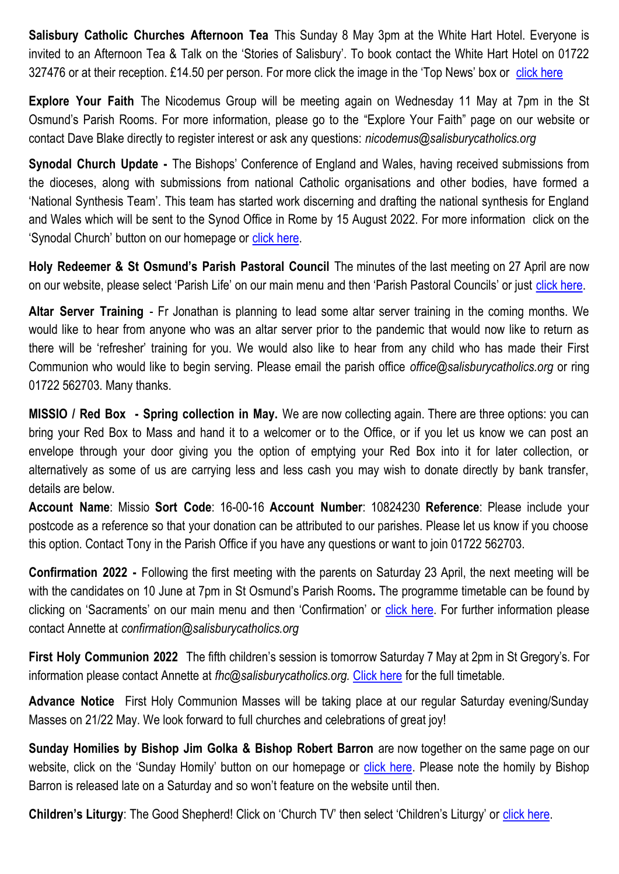**Salisbury Catholic Churches Afternoon Tea** This Sunday 8 May 3pm at the White Hart Hotel. Everyone is invited to an Afternoon Tea & Talk on the 'Stories of Salisbury'. To book contact the White Hart Hotel on 01722 327476 or at their reception. £14.50 per person. For more click the image in the 'Top News' box or [click here](https://salisburycatholics.org/blog/salisbury-catholic-churches-afternoon-tea)

**Explore Your Faith** The Nicodemus Group will be meeting again on Wednesday 11 May at 7pm in the St Osmund's Parish Rooms. For more information, please go to the "Explore Your Faith" page on our website or contact Dave Blake directly to register interest or ask any questions: *nicodemus@salisburycatholics.org*

**Synodal Church Update -** The Bishops' Conference of England and Wales, having received submissions from the dioceses, along with submissions from national Catholic organisations and other bodies, have formed a 'National Synthesis Team'. This team has started work discerning and drafting the national synthesis for England and Wales which will be sent to the Synod Office in Rome by 15 August 2022. For more information click on the 'Synodal Church' button on our homepage or [click here.](https://salisburycatholics.org/synodal-church) 

**Holy Redeemer & St Osmund's Parish Pastoral Council** The minutes of the last meeting on 27 April are now on our website, please select 'Parish Life' on our main menu and then 'Parish Pastoral Councils' or just [click here.](https://salisburycatholics.org/ppc-hr-sto) 

**Altar Server Training** - Fr Jonathan is planning to lead some altar server training in the coming months. We would like to hear from anyone who was an altar server prior to the pandemic that would now like to return as there will be 'refresher' training for you. We would also like to hear from any child who has made their First Communion who would like to begin serving. Please email the parish office *office@salisburycatholics.org* or ring 01722 562703. Many thanks.

**MISSIO / Red Box - Spring collection in May.** We are now collecting again. There are three options: you can bring your Red Box to Mass and hand it to a welcomer or to the Office, or if you let us know we can post an envelope through your door giving you the option of emptying your Red Box into it for later collection, or alternatively as some of us are carrying less and less cash you may wish to donate directly by bank transfer, details are below.

**Account Name**: Missio **Sort Code**: 16-00-16 **Account Number**: 10824230 **Reference**: Please include your postcode as a reference so that your donation can be attributed to our parishes. Please let us know if you choose this option. Contact Tony in the Parish Office if you have any questions or want to join 01722 562703.

**Confirmation 2022 -** Following the first meeting with the parents on Saturday 23 April, the next meeting will be with the candidates on 10 June at 7pm in St Osmund's Parish Rooms**.** The programme timetable can be found by clicking on 'Sacraments' on our main menu and then 'Confirmation' or [click here.](https://salisburycatholics.org/confirmation) For further information please contact Annette at *confirmation@salisburycatholics.org*

**First Holy Communion 2022** The fifth children's session is tomorrow Saturday 7 May at 2pm in St Gregory's. For information please contact Annette at *fhc@salisburycatholics.org.* [Click here](https://salisburycatholics.org/holy-communion) for the full timetable*.*

**Advance Notice** First Holy Communion Masses will be taking place at our regular Saturday evening/Sunday Masses on 21/22 May. We look forward to full churches and celebrations of great joy!

**Sunday Homilies by Bishop Jim Golka & Bishop Robert Barron** are now together on the same page on our website, click on the 'Sunday Homily' button on our homepage or [click here.](https://salisburycatholics.org/sunday-homily) Please note the homily by Bishop Barron is released late on a Saturday and so won't feature on the website until then.

**Children's Liturgy:** The Good Shepherd! Click on 'Church TV' then select 'Children's Liturgy' or click here.